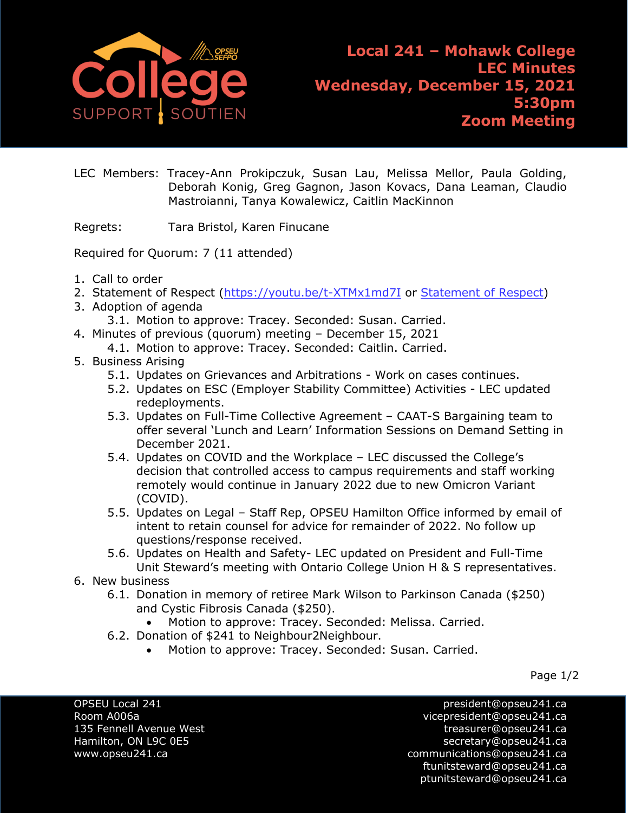

**Local 241 – Mohawk College LEC Minutes Wednesday, December 15, 2021 5:30pm Zoom Meeting**

LEC Members: Tracey-Ann Prokipczuk, Susan Lau, Melissa Mellor, Paula Golding, Deborah Konig, Greg Gagnon, Jason Kovacs, Dana Leaman, Claudio Mastroianni, Tanya Kowalewicz, Caitlin MacKinnon

Regrets: Tara Bristol, Karen Finucane

Required for Quorum: 7 (11 attended)

- 1. Call to order
- 2. [Statement of Respect](https://opseu.org/wp-content/uploads/2014/04/Statement-of-Respect-2019.pdf) [\(https://youtu.be/t-XTMx1md7I](https://youtu.be/t-XTMx1md7I) or [Statement of Respect\)](https://www.opseu.org/information/tools-and-resources/statement-of-respect/9709/)
- 3. Adoption of agenda
	- 3.1. Motion to approve: Tracey. Seconded: Susan. Carried.
- 4. Minutes of previous (quorum) meeting December 15, 2021
	- 4.1. Motion to approve: Tracey. Seconded: Caitlin. Carried.
- 5. Business Arising
	- 5.1. Updates on Grievances and Arbitrations Work on cases continues.
	- 5.2. Updates on ESC (Employer Stability Committee) Activities LEC updated redeployments.
	- 5.3. Updates on Full-Time Collective Agreement CAAT-S Bargaining team to offer several 'Lunch and Learn' Information Sessions on Demand Setting in December 2021.
	- 5.4. Updates on COVID and the Workplace LEC discussed the College's decision that controlled access to campus requirements and staff working remotely would continue in January 2022 due to new Omicron Variant (COVID).
	- 5.5. Updates on Legal Staff Rep, OPSEU Hamilton Office informed by email of intent to retain counsel for advice for remainder of 2022. No follow up questions/response received.
	- 5.6. Updates on Health and Safety- LEC updated on President and Full-Time Unit Steward's meeting with Ontario College Union H & S representatives.
- 6. New business
	- 6.1. Donation in memory of retiree Mark Wilson to Parkinson Canada (\$250) and Cystic Fibrosis Canada (\$250).
		- Motion to approve: Tracey. Seconded: Melissa. Carried.
	- 6.2. Donation of \$241 to Neighbour2Neighbour.
		- Motion to approve: Tracey. Seconded: Susan. Carried.

Page 1/2

OPSEU Local 241 president@opseu241.ca

Room A006a vicepresident@opseu241.ca 135 Fennell Avenue West [treasurer@opseu241.ca](mailto:treasurer@opseu241.ca) Hamilton, ON L9C 0E5 [secretary@opseu241.ca](mailto:secretary@opseu241.ca) www.opseu241.ca communications@opseu241.ca [ftunitsteward@opseu241.ca](mailto:ftunitsteward@opseu241.ca) ptunitsteward@opseu241.ca